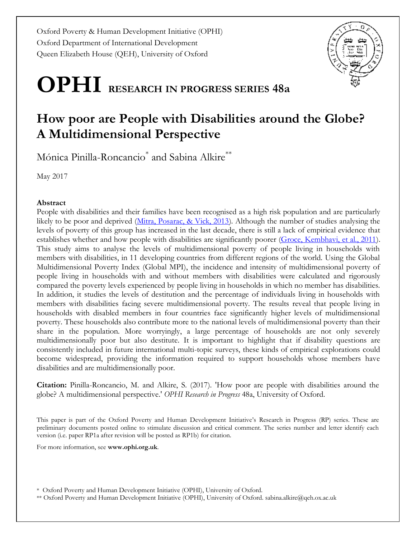Oxford Poverty & Human Development Initiative (OPHI) Oxford Department of International Development Queen Elizabeth House (QEH), University of Oxford

# **OPHI RESEARCH IN PROGRESS SERIES 48a**

# **How poor are People with Disabilities around the Globe? A Multidimensional Perspective**

Mónica Pinilla-Roncancio\* and Sabina Alkire\*\*

May 2017

#### **Abstract**

People with disabilities and their families have been recognised as a high risk population and are particularly likely to be poor and deprived [\(Mitra, Posarac, & Vick, 2013\)](#page-20-0). Although the number of studies analysing the levels of poverty of this group has increased in the last decade, there is still a lack of empirical evidence that establishes whether and how people with disabilities are significantly poorer [\(Groce, Kembhavi, et al., 2011\)](#page-20-1). This study aims to analyse the levels of multidimensional poverty of people living in households with members with disabilities, in 11 developing countries from different regions of the world. Using the Global Multidimensional Poverty Index (Global MPI), the incidence and intensity of multidimensional poverty of people living in households with and without members with disabilities were calculated and rigorously compared the poverty levels experienced by people living in households in which no member has disabilities. In addition, it studies the levels of destitution and the percentage of individuals living in households with members with disabilities facing severe multidimensional poverty. The results reveal that people living in households with disabled members in four countries face significantly higher levels of multidimensional poverty. These households also contribute more to the national levels of multidimensional poverty than their share in the population. More worryingly, a large percentage of households are not only severely multidimensionally poor but also destitute. It is important to highlight that if disability questions are consistently included in future international multi-topic surveys, these kinds of empirical explorations could become widespread, providing the information required to support households whose members have disabilities and are multidimensionally poor.

**Citation:** Pinilla-Roncancio, M. and Alkire, S. (2017). 'How poor are people with disabilities around the globe? A multidimensional perspective.' *OPHI Research in Progress* 48a, University of Oxford.

This paper is part of the Oxford Poverty and Human Development Initiative's Research in Progress (RP) series. These are preliminary documents posted online to stimulate discussion and critical comment. The series number and letter identify each version (i.e. paper RP1a after revision will be posted as RP1b) for citation.

For more information, see **www.ophi.org.uk**.

\* Oxford Poverty and Human Development Initiative (OPHI), University of Oxford.

\*\* Oxford Poverty and Human Development Initiative (OPHI), University of Oxford. sabina.alkire@qeh.ox.ac.uk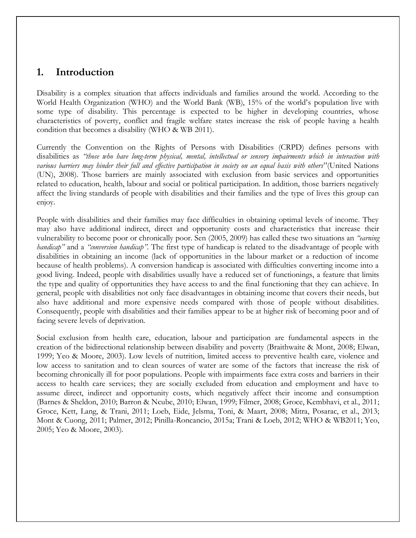# **1. Introduction**

Disability is a complex situation that affects individuals and families around the world. According to the World Health Organization (WHO) and the World Bank (WB), 15% of the world's population live with some type of disability. This percentage is expected to be higher in developing countries, whose characteristics of poverty, conflict and fragile welfare states increase the risk of people having a health condition that becomes a disability [\(WHO & WB 2011\)](#page-21-0).

Currently the Convention on the Rights of Persons with Disabilities (CRPD) defines persons with disabilities as *"those who have long-term physical, mental, intellectual or sensory impairments which in interaction with various barriers may hinder their full and effective participation in society on an equal basis with others*"[\(United Nations](#page-21-1)  [\(UN\), 2008\)](#page-21-1). Those barriers are mainly associated with exclusion from basic services and opportunities related to education, health, labour and social or political participation. In addition, those barriers negatively affect the living standards of people with disabilities and their families and the type of lives this group can enjoy.

People with disabilities and their families may face difficulties in obtaining optimal levels of income. They may also have additional indirect, direct and opportunity costs and characteristics that increase their vulnerability to become poor or chronically poor. Sen [\(2005,](#page-20-2) [2009\)](#page-21-2) has called these two situations an *"earning handicap"* and a *"conversion handicap"*. The first type of handicap is related to the disadvantage of people with disabilities in obtaining an income (lack of opportunities in the labour market or a reduction of income because of health problems). A conversion handicap is associated with difficulties converting income into a good living. Indeed, people with disabilities usually have a reduced set of functionings, a feature that limits the type and quality of opportunities they have access to and the final functioning that they can achieve. In general, people with disabilities not only face disadvantages in obtaining income that covers their needs, but also have additional and more expensive needs compared with those of people without disabilities. Consequently, people with disabilities and their families appear to be at higher risk of becoming poor and of facing severe levels of deprivation.

Social exclusion from health care, education, labour and participation are fundamental aspects in the creation of the bidirectional relationship between disability and poverty [\(Braithwaite & Mont, 2008;](#page-19-0) [Elwan,](#page-19-1)  [1999;](#page-19-1) [Yeo & Moore,](#page-21-3) 2003). Low levels of nutrition, limited access to preventive health care, violence and low access to sanitation and to clean sources of water are some of the factors that increase the risk of becoming chronically ill for poor populations. People with impairments face extra costs and barriers in their access to health care services; they are socially excluded from education and employment and have to assume direct, indirect and opportunity costs, which negatively affect their income and consumption [\(Barnes & Sheldon, 2010;](#page-19-2) [Barron & Ncube, 2010;](#page-19-3) [Elwan, 1999;](#page-19-1) [Filmer, 2008;](#page-20-3) [Groce, Kembhavi, et al., 2011;](#page-20-1) [Groce, Kett, Lang, & Trani, 2011;](#page-20-4) [Loeb, Eide, Jelsma, Toni, & Maart, 2008;](#page-20-5) [Mitra, Posarac, et al., 2013;](#page-20-0) [Mont & Cuong, 2011;](#page-20-6) [Palmer, 2012;](#page-20-7) [Pinilla-Roncancio, 2015a;](#page-20-8) [Trani & Loeb, 2012;](#page-21-4) [WHO & WB2011;](#page-21-0) [Yeo,](#page-21-5)  [2005;](#page-21-5) [Yeo & Moore, 2003\)](#page-21-3).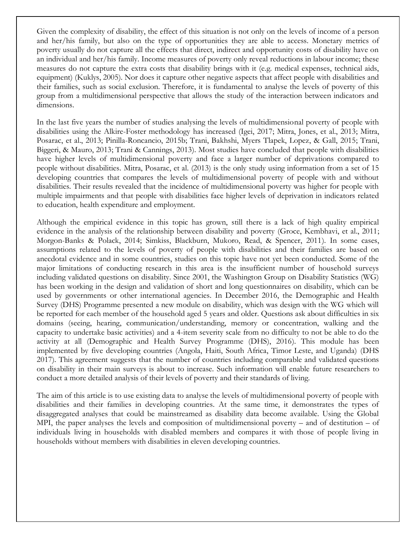Given the complexity of disability, the effect of this situation is not only on the levels of income of a person and her/his family, but also on the type of opportunities they are able to access. Monetary metrics of poverty usually do not capture all the effects that direct, indirect and opportunity costs of disability have on an individual and her/his family. Income measures of poverty only reveal reductions in labour income; these measures do not capture the extra costs that disability brings with it (e.g. medical expenses, technical aids, equipment) [\(Kuklys, 2005\)](#page-20-9). Nor does it capture other negative aspects that affect people with disabilities and their families, such as social exclusion. Therefore, it is fundamental to analyse the levels of poverty of this group from a multidimensional perspective that allows the study of the interaction between indicators and dimensions.

In the last five years the number of studies analysing the levels of multidimensional poverty of people with disabilities using the Alkire-Foster methodology has increased [\(Igei, 2017;](#page-20-10) [Mitra, Jones, et al., 2013;](#page-20-11) [Mitra,](#page-20-0)  [Posarac, et al., 2013;](#page-20-0) [Pinilla-Roncancio, 2015b;](#page-20-12) [Trani, Bakhshi, Myers Tlapek, Lopez, & Gall, 2015;](#page-21-6) [Trani,](#page-21-7)  [Biggeri, & Mauro, 2013;](#page-21-7) [Trani & Cannings, 2013\)](#page-21-8). Most studies have concluded that people with disabilities have higher levels of multidimensional poverty and face a larger number of deprivations compared to people without disabilities. [Mitra, Posarac, et al. \(2013\)](#page-20-0) is the only study using information from a set of 15 developing countries that compares the levels of multidimensional poverty of people with and without disabilities. Their results revealed that the incidence of multidimensional poverty was higher for people with multiple impairments and that people with disabilities face higher levels of deprivation in indicators related to education, health expenditure and employment.

Although the empirical evidence in this topic has grown, still there is a lack of high quality empirical evidence in the analysis of the relationship between disability and poverty [\(Groce, Kembhavi, et al., 2011;](#page-20-1) [Morgon-Banks & Polack, 2014;](#page-20-13) [Simkiss, Blackburn, Mukoro, Read, & Spencer, 2011\)](#page-21-9). In some cases, assumptions related to the levels of poverty of people with disabilities and their families are based on anecdotal evidence and in some countries, studies on this topic have not yet been conducted. Some of the major limitations of conducting research in this area is the insufficient number of household surveys including validated questions on disability. Since 2001, the Washington Group on Disability Statistics (WG) has been working in the design and validation of short and long questionnaires on disability, which can be used by governments or other international agencies. In December 2016, the Demographic and Health Survey (DHS) Programme presented a new module on disability, which was design with the WG which will be reported for each member of the household aged 5 years and older. Questions ask about difficulties in six domains (seeing, hearing, communication/understanding, memory or concentration, walking and the capacity to undertake basic activities) and a 4-item severity scale from no difficulty to not be able to do the activity at all [\(Demographic and Health Survey Programme \(DHS\), 2016\)](#page-19-4). This module has been implemented by five developing countries (Angola, Haiti, South Africa, Timor Leste, and Uganda) [\(DHS](#page-19-5)  [2017\)](#page-19-5). This agreement suggests that the number of countries including comparable and validated questions on disability in their main surveys is about to increase. Such information will enable future researchers to conduct a more detailed analysis of their levels of poverty and their standards of living.

The aim of this article is to use existing data to analyse the levels of multidimensional poverty of people with disabilities and their families in developing countries. At the same time, it demonstrates the types of disaggregated analyses that could be mainstreamed as disability data become available. Using the Global MPI, the paper analyses the levels and composition of multidimensional poverty – and of destitution – of individuals living in households with disabled members and compares it with those of people living in households without members with disabilities in eleven developing countries.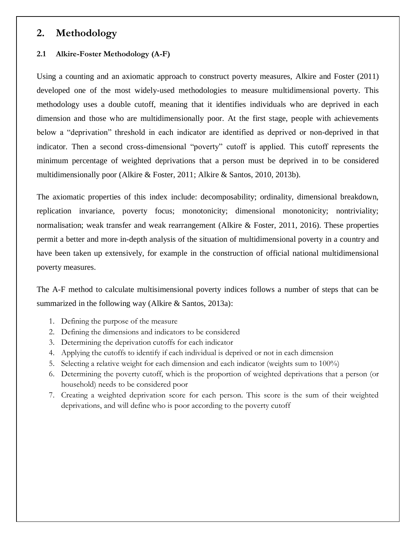# **2. Methodology**

#### **2.1 Alkire-Foster Methodology (A-F)**

Using a counting and an axiomatic approach to construct poverty measures, [Alkire and Foster \(2011\)](#page-19-6) developed one of the most widely-used methodologies to measure multidimensional poverty. This methodology uses a double cutoff, meaning that it identifies individuals who are deprived in each dimension and those who are multidimensionally poor. At the first stage, people with achievements below a "deprivation" threshold in each indicator are identified as deprived or non-deprived in that indicator. Then a second cross-dimensional "poverty" cutoff is applied. This cutoff represents the minimum percentage of weighted deprivations that a person must be deprived in to be considered multidimensionally poor [\(Alkire & Foster, 2011;](#page-19-6) [Alkire & Santos, 2010,](#page-19-7) [2013b\)](#page-19-8).

The axiomatic properties of this index include: decomposability; ordinality, dimensional breakdown, replication invariance, poverty focus; monotonicity; dimensional monotonicity; nontriviality; normalisation; weak transfer and weak rearrangement [\(Alkire & Foster, 2011,](#page-19-6) [2016\)](#page-19-9). These properties permit a better and more in-depth analysis of the situation of multidimensional poverty in a country and have been taken up extensively, for example in the construction of official national multidimensional poverty measures.

The A-F method to calculate multisimensional poverty indices follows a number of steps that can be summarized in the following way [\(Alkire & Santos, 2013a\)](#page-19-10):

- 1. Defining the purpose of the measure
- 2. Defining the dimensions and indicators to be considered
- 3. Determining the deprivation cutoffs for each indicator
- 4. Applying the cutoffs to identify if each individual is deprived or not in each dimension
- 5. Selecting a relative weight for each dimension and each indicator (weights sum to 100%)
- 6. Determining the poverty cutoff, which is the proportion of weighted deprivations that a person (or household) needs to be considered poor
- 7. Creating a weighted deprivation score for each person. This score is the sum of their weighted deprivations, and will define who is poor according to the poverty cutoff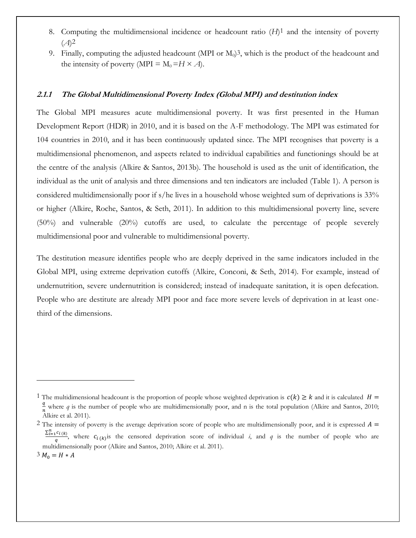- 8. Computing the multidimensional incidence or headcount ratio (*H*)1 and the intensity of poverty (*A*)2
- 9. Finally, computing the adjusted headcount (MPI or  $M<sub>0</sub>$ )<sup>3</sup>, which is the product of the headcount and the intensity of poverty (MPI =  $M_0 = H \times A$ ).

#### **2.1.1 The Global Multidimensional Poverty Index (Global MPI) and destitution index**

The Global MPI measures acute multidimensional poverty. It was first presented in the Human Development Report (HDR) in 2010, and it is based on the A-F methodology. The MPI was estimated for 104 countries in 2010, and it has been continuously updated since. The MPI recognises that poverty is a multidimensional phenomenon, and aspects related to individual capabilities and functionings should be at the centre of the analysis [\(Alkire & Santos, 2013b\)](#page-19-8). The household is used as the unit of identification, the individual as the unit of analysis and three dimensions and ten indicators are included (Table 1). A person is considered multidimensionally poor if s/he lives in a household whose weighted sum of deprivations is 33% or higher [\(Alkire, Roche, Santos, & Seth, 2011\)](#page-19-11). In addition to this multidimensional poverty line, severe (50%) and vulnerable (20%) cutoffs are used, to calculate the percentage of people severely multidimensional poor and vulnerable to multidimensional poverty.

The destitution measure identifies people who are deeply deprived in the same indicators included in the Global MPI, using extreme deprivation cutoffs [\(Alkire, Conconi, & Seth, 2014\)](#page-19-12). For example, instead of undernutrition, severe undernutrition is considered; instead of inadequate sanitation, it is open defecation. People who are destitute are already MPI poor and face more severe levels of deprivation in at least onethird of the dimensions.

 $\overline{a}$ 

<sup>&</sup>lt;sup>1</sup> The multidimensional headcount is the proportion of people whose weighted deprivation is  $c(k) \geq k$  and it is calculated  $H =$  $\frac{q}{r}$  where *q* is the number of people who are multidimensionally poor, and n is the total population (Alkire and Santos, 2010;  $n^{n+1}$  and  $q^{n+1}$  and  $r^{n+1}$ .

<sup>&</sup>lt;sup>2</sup> The intensity of poverty is the average deprivation score of people who are multidimensionally poor, and it is expressed  $A =$  $\sum_{i=1}^n c_{i(k)}$  $\frac{\partial f(k)}{\partial q}$ , where  $c_{i(k)}$  is the censored deprivation score of individual *i*, and *q* is the number of people who are multidimensionally poor (Alkire and Santos, 2010; Alkire et al. 2011).  $3 M_0 = H * A$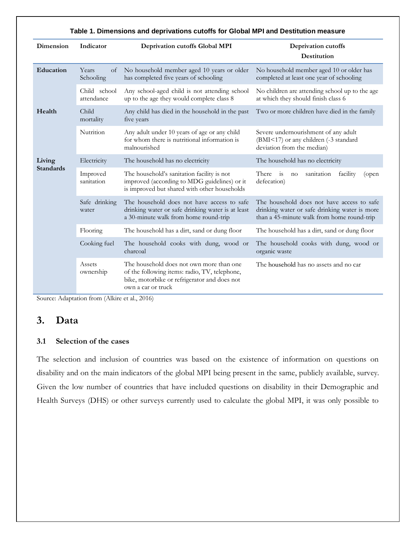|                  | Table 1. Dimensions and deprivations cutoffs for Global MPI and Destitution measure |                                                                                                                                                                 |                                                                                                                                           |  |  |  |  |  |  |  |
|------------------|-------------------------------------------------------------------------------------|-----------------------------------------------------------------------------------------------------------------------------------------------------------------|-------------------------------------------------------------------------------------------------------------------------------------------|--|--|--|--|--|--|--|
| Dimension        | Indicator                                                                           | Deprivation cutoffs Global MPI                                                                                                                                  | Deprivation cutoffs<br>Destitution                                                                                                        |  |  |  |  |  |  |  |
| Education        | Years<br>of<br>Schooling                                                            | No household member aged 10 years or older<br>has completed five years of schooling                                                                             | No household member aged 10 or older has<br>completed at least one year of schooling                                                      |  |  |  |  |  |  |  |
|                  | Child school<br>attendance                                                          | Any school-aged child is not attending school<br>up to the age they would complete class 8                                                                      | No children are attending school up to the age<br>at which they should finish class 6                                                     |  |  |  |  |  |  |  |
| Health           | Child<br>mortality                                                                  | Any child has died in the household in the past<br>five years                                                                                                   | Two or more children have died in the family                                                                                              |  |  |  |  |  |  |  |
|                  | Nutrition                                                                           | Any adult under 10 years of age or any child<br>for whom there is nutritional information is<br>malnourished                                                    | Severe undernourishment of any adult<br>(BMI<17) or any children (-3 standard<br>deviation from the median)                               |  |  |  |  |  |  |  |
| Living           | Electricity                                                                         | The household has no electricity                                                                                                                                | The household has no electricity                                                                                                          |  |  |  |  |  |  |  |
| <b>Standards</b> | Improved<br>sanitation                                                              | The household's sanitation facility is not<br>improved (according to MDG guidelines) or it<br>is improved but shared with other households                      | There is<br>sanitation<br>facility<br>no<br>(open)<br>defecation)                                                                         |  |  |  |  |  |  |  |
|                  | Safe drinking<br>water                                                              | The household does not have access to safe<br>drinking water or safe drinking water is at least<br>a 30-minute walk from home round-trip                        | The household does not have access to safe<br>drinking water or safe drinking water is more<br>than a 45-minute walk from home round-trip |  |  |  |  |  |  |  |
|                  | Flooring                                                                            | The household has a dirt, sand or dung floor                                                                                                                    | The household has a dirt, sand or dung floor                                                                                              |  |  |  |  |  |  |  |
|                  | Cooking fuel                                                                        | The household cooks with dung, wood or<br>charcoal                                                                                                              | The household cooks with dung, wood or<br>organic waste                                                                                   |  |  |  |  |  |  |  |
|                  | Assets<br>ownership                                                                 | The household does not own more than one<br>of the following items: radio, TV, telephone,<br>bike, motorbike or refrigerator and does not<br>own a car or truck | The household has no assets and no car                                                                                                    |  |  |  |  |  |  |  |

Source: Adaptation from [\(Alkire et al., 2016\)](#page-19-13)

## **3. Data**

#### **3.1 Selection of the cases**

The selection and inclusion of countries was based on the existence of information on questions on disability and on the main indicators of the global MPI being present in the same, publicly available, survey. Given the low number of countries that have included questions on disability in their Demographic and Health Surveys (DHS) or other surveys currently used to calculate the global MPI, it was only possible to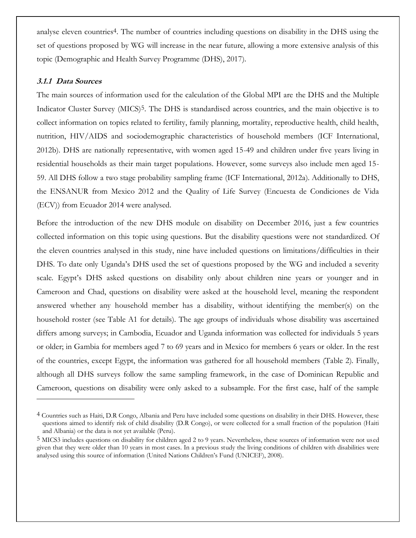analyse eleven countries<sup>4</sup>. The number of countries including questions on disability in the DHS using the set of questions proposed by WG will increase in the near future, allowing a more extensive analysis of this topic [\(Demographic and Health Survey Programme \(DHS\), 2017\)](#page-19-5).

#### **3.1.1 Data Sources**

 $\overline{a}$ 

The main sources of information used for the calculation of the Global MPI are the DHS and the Multiple Indicator Cluster Survey (MICS)<sup>5</sup>. The DHS is standardised across countries, and the main objective is to collect information on topics related to fertility, family planning, mortality, reproductive health, child health, nutrition, HIV/AIDS and sociodemographic characteristics of household members [\(ICF International,](#page-20-14)  [2012b\)](#page-20-14). DHS are nationally representative, with women aged 15-49 and children under five years living in residential households as their main target populations. However, some surveys also include men aged 15- 59. All DHS follow a two stage probability sampling frame [\(ICF International, 2012a\)](#page-20-15). Additionally to DHS, the ENSANUR from Mexico 2012 and the Quality of Life Survey (Encuesta de Condiciones de Vida (ECV)) from Ecuador 2014 were analysed.

Before the introduction of the new DHS module on disability on December 2016, just a few countries collected information on this topic using questions. But the disability questions were not standardized. Of the eleven countries analysed in this study, nine have included questions on limitations/difficulties in their DHS. To date only Uganda's DHS used the set of questions proposed by the WG and included a severity scale. Egypt's DHS asked questions on disability only about children nine years or younger and in Cameroon and Chad, questions on disability were asked at the household level, meaning the respondent answered whether any household member has a disability, without identifying the member(s) on the household roster (see Table A1 for details). The age groups of individuals whose disability was ascertained differs among surveys; in Cambodia, Ecuador and Uganda information was collected for individuals 5 years or older; in Gambia for members aged 7 to 69 years and in Mexico for members 6 years or older. In the rest of the countries, except Egypt, the information was gathered for all household members (Table 2). Finally, although all DHS surveys follow the same sampling framework, in the case of Dominican Republic and Cameroon, questions on disability were only asked to a subsample. For the first case, half of the sample

<sup>4</sup> Countries such as Haiti, D.R Congo, Albania and Peru have included some questions on disability in their DHS. However, these questions aimed to identify risk of child disability (D.R Congo), or were collected for a small fraction of the population (Haiti and Albania) or the data is not yet available (Peru).

<sup>5</sup> MICS3 includes questions on disability for children aged 2 to 9 years. Nevertheless, these sources of information were not used given that they were older than 10 years in most cases. In a previous study the living conditions of children with disabilities were analysed using this source of information ([United Nations Children's Fun](#page-21-10)d (UNICEF), 2008).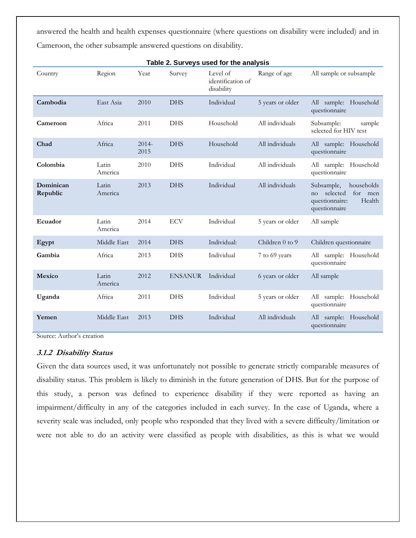answered the health and health expenses questionnaire (where questions on disability were included) and in Cameroon, the other subsample answered questions on disability.

| Table 2. Surveys used for the analysis |                  |                  |                |                                             |                     |                                                                                                    |  |  |  |  |  |
|----------------------------------------|------------------|------------------|----------------|---------------------------------------------|---------------------|----------------------------------------------------------------------------------------------------|--|--|--|--|--|
| Country                                | Region           | Year             | Survey         | Level of<br>identification of<br>disability | Range of age        | All sample or subsample                                                                            |  |  |  |  |  |
| Cambodia                               | East Asia        | 2010             | <b>DHS</b>     | Individual                                  | 5 years or older    | All sample: Household<br>questionnaire                                                             |  |  |  |  |  |
| Cameroon                               | Africa           | 2011             | <b>DHS</b>     | Household                                   | All individuals     | Subsample:<br>sample<br>selected for HIV test                                                      |  |  |  |  |  |
| Chad                                   | Africa           | $2014 -$<br>2015 | <b>DHS</b>     | Household                                   | All individuals     | All sample: Household<br>questionnaire                                                             |  |  |  |  |  |
| Colombia                               | Latin<br>America | 2010             | <b>DHS</b>     | Individual                                  | All individuals     | All sample: Household<br>questionnaire                                                             |  |  |  |  |  |
| Dominican<br>Republic                  | Latin<br>America | 2013             | <b>DHS</b>     | Individual                                  | All individuals     | Subsample,<br>households<br>selected<br>for men<br>no<br>questionnaire:<br>Health<br>questionnaire |  |  |  |  |  |
| Ecuador                                | Latin<br>America | 2014             | <b>ECV</b>     | Individual                                  | 5 years or older    | All sample                                                                                         |  |  |  |  |  |
| Egypt                                  | Middle East      | 2014             | <b>DHS</b>     | Individual:                                 | Children $0$ to $9$ | Children questionnaire                                                                             |  |  |  |  |  |
| Gambia                                 | Africa           | 2013             | <b>DHS</b>     | Individual                                  | 7 to 69 years       | All sample: Household<br>questionnaire                                                             |  |  |  |  |  |
| Mexico                                 | Latin<br>America | 2012             | <b>ENSANUR</b> | Individual                                  | 6 years or older    | All sample                                                                                         |  |  |  |  |  |
| Uganda                                 | Africa           | 2011             | <b>DHS</b>     | Individual                                  | 5 years or older    | All sample: Household<br>questionnaire                                                             |  |  |  |  |  |
| Yemen                                  | Middle East      | 2013             | <b>DHS</b>     | Individual                                  | All individuals     | All sample: Household<br>questionnaire                                                             |  |  |  |  |  |

Source: Author's creation

#### **3.1.2 Disability Status**

Given the data sources used, it was unfortunately not possible to generate strictly comparable measures of disability status. This problem is likely to diminish in the future generation of DHS. But for the purpose of this study, a person was defined to experience disability if they were reported as having an impairment/difficulty in any of the categories included in each survey. In the case of Uganda, where a severity scale was included, only people who responded that they lived with a severe difficulty/limitation or were not able to do an activity were classified as people with disabilities, as this is what we would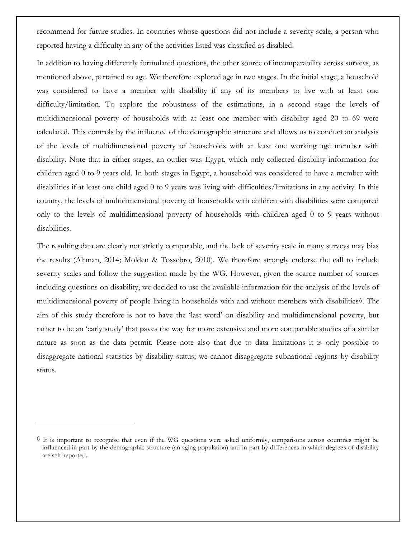recommend for future studies. In countries whose questions did not include a severity scale, a person who reported having a difficulty in any of the activities listed was classified as disabled.

In addition to having differently formulated questions, the other source of incomparability across surveys, as mentioned above, pertained to age. We therefore explored age in two stages. In the initial stage, a household was considered to have a member with disability if any of its members to live with at least one difficulty/limitation. To explore the robustness of the estimations, in a second stage the levels of multidimensional poverty of households with at least one member with disability aged 20 to 69 were calculated. This controls by the influence of the demographic structure and allows us to conduct an analysis of the levels of multidimensional poverty of households with at least one working age member with disability. Note that in either stages, an outlier was Egypt, which only collected disability information for children aged 0 to 9 years old. In both stages in Egypt, a household was considered to have a member with disabilities if at least one child aged 0 to 9 years was living with difficulties/limitations in any activity. In this country, the levels of multidimensional poverty of households with children with disabilities were compared only to the levels of multidimensional poverty of households with children aged 0 to 9 years without disabilities.

The resulting data are clearly not strictly comparable, and the lack of severity scale in many surveys may bias the results [\(Altman, 2014;](#page-19-14) [Molden & Tossebro, 2010\)](#page-20-16). We therefore strongly endorse the call to include severity scales and follow the suggestion made by the WG. However, given the scarce number of sources including questions on disability, we decided to use the available information for the analysis of the levels of multidimensional poverty of people living in households with and without members with disabilities6. The aim of this study therefore is not to have the 'last word' on disability and multidimensional poverty, but rather to be an 'early study' that paves the way for more extensive and more comparable studies of a similar nature as soon as the data permit. Please note also that due to data limitations it is only possible to disaggregate national statistics by disability status; we cannot disaggregate subnational regions by disability status.

 $\overline{a}$ 

<sup>6</sup> It is important to recognise that even if the WG questions were asked uniformly, comparisons across countries might be influenced in part by the demographic structure (an aging population) and in part by differences in which degrees of disability are self-reported.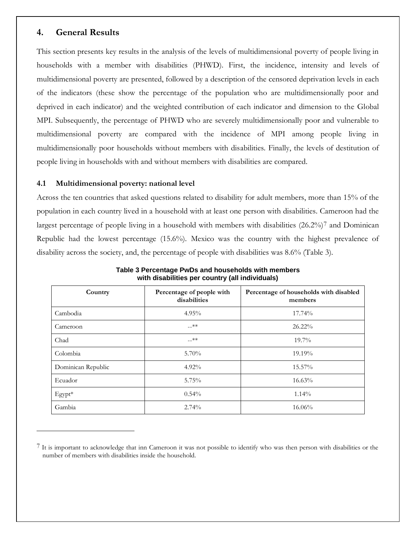#### **4. General Results**

 $\overline{a}$ 

This section presents key results in the analysis of the levels of multidimensional poverty of people living in households with a member with disabilities (PHWD). First, the incidence, intensity and levels of multidimensional poverty are presented, followed by a description of the censored deprivation levels in each of the indicators (these show the percentage of the population who are multidimensionally poor and deprived in each indicator) and the weighted contribution of each indicator and dimension to the Global MPI. Subsequently, the percentage of PHWD who are severely multidimensionally poor and vulnerable to multidimensional poverty are compared with the incidence of MPI among people living in multidimensionally poor households without members with disabilities. Finally, the levels of destitution of people living in households with and without members with disabilities are compared.

#### **4.1 Multidimensional poverty: national level**

Across the ten countries that asked questions related to disability for adult members, more than 15% of the population in each country lived in a household with at least one person with disabilities. Cameroon had the largest percentage of people living in a household with members with disabilities (26.2%)7 and Dominican Republic had the lowest percentage (15.6%). Mexico was the country with the highest prevalence of disability across the society, and, the percentage of people with disabilities was 8.6% (Table 3).

| Country            | Percentage of people with<br>disabilities | Percentage of households with disabled<br>members |
|--------------------|-------------------------------------------|---------------------------------------------------|
| Cambodia           | $4.95\%$                                  | 17.74%                                            |
| Cameroon           | $-x^*$                                    | $26.22\%$                                         |
| Chad               | $-x^*$                                    | $19.7\%$                                          |
| Colombia           | 5.70%                                     | 19.19%                                            |
| Dominican Republic | $4.92\%$                                  | 15.57%                                            |
| Ecuador            | 5.75%                                     | 16.63%                                            |
| $E$ gypt $*$       | 0.54%                                     | $1.14\%$                                          |
| Gambia             | 2.74%                                     | 16.06%                                            |

**Table 3 Percentage PwDs and households with members with disabilities per country (all individuals)**

<sup>7</sup> It is important to acknowledge that inn Cameroon it was not possible to identify who was then person with disabilities or the number of members with disabilities inside the household.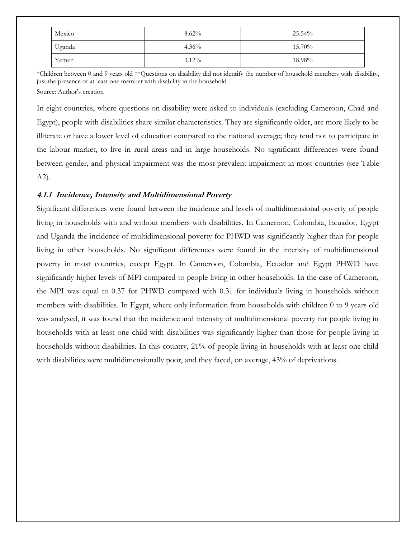| Mexico | $8.62\%$ | $25.54\%$ |
|--------|----------|-----------|
| Uganda | $4.36\%$ | 15.70%    |
| Yemen  | $3.12\%$ | 18.98%    |

\*Children between 0 and 9 years old \*\*Questions on disability did not identify the number of household members with disability, just the presence of at least one member with disability in the household Source: Author's creation

In eight countries, where questions on disability were asked to individuals (excluding Cameroon, Chad and Egypt), people with disabilities share similar characteristics. They are significantly older, are more likely to be illiterate or have a lower level of education compared to the national average; they tend not to participate in the labour market, to live in rural areas and in large households. No significant differences were found between gender, and physical impairment was the most prevalent impairment in most countries (see Table A2).

#### **4.1.1 Incidence, Intensity and Multidimensional Poverty**

Significant differences were found between the incidence and levels of multidimensional poverty of people living in households with and without members with disabilities. In Cameroon, Colombia, Ecuador, Egypt and Uganda the incidence of multidimensional poverty for PHWD was significantly higher than for people living in other households. No significant differences were found in the intensity of multidimensional poverty in most countries, except Egypt. In Cameroon, Colombia, Ecuador and Egypt PHWD have significantly higher levels of MPI compared to people living in other households. In the case of Cameroon, the MPI was equal to 0.37 for PHWD compared with 0.31 for individuals living in households without members with disabilities. In Egypt, where only information from households with children 0 to 9 years old was analysed, it was found that the incidence and intensity of multidimensional poverty for people living in households with at least one child with disabilities was significantly higher than those for people living in households without disabilities. In this country, 21% of people living in households with at least one child with disabilities were multidimensionally poor, and they faced, on average, 43% of deprivations.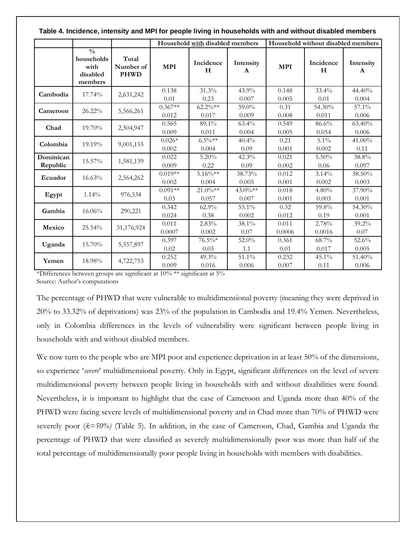|                       | ו מאוס ה וווטומטווטט, ווונטווטונץ מוומ וזור דו טר פטטפוט וויזוואַן ווו ווטמטטווטומט זוונוו מוומ זוונווטמנ מוטמ |                                   |                    |                                 |                   |                 |                                    |                           |  |  |
|-----------------------|----------------------------------------------------------------------------------------------------------------|-----------------------------------|--------------------|---------------------------------|-------------------|-----------------|------------------------------------|---------------------------|--|--|
|                       |                                                                                                                |                                   |                    | Household with disabled members |                   |                 | Household without disabled members |                           |  |  |
|                       | $\frac{0}{0}$<br>households<br>with<br>disabled<br>members                                                     | Total<br>Number of<br><b>PHWD</b> | <b>MPI</b>         | Incidence<br>H                  | Intensity<br>A    | <b>MPI</b>      | Incidence<br>H                     | Intensity<br>$\mathbf{A}$ |  |  |
| Cambodia              | 17.74%                                                                                                         | 2,631,242                         | 0.138<br>0.01      | 31.3%<br>0.23                   | 43.9%<br>0.007    | 0.148<br>0.005  | 33.4%<br>0.01                      | 44.40%<br>0.004           |  |  |
| Cameroon              | 26.22%                                                                                                         | 5,566,261                         | $0.367**$<br>0.012 | $62.2\%**$<br>0.017             | 59.0%<br>0.009    | 0.31<br>0.008   | 54.30%<br>0.011                    | 57.1%<br>0.006            |  |  |
| Chad                  | 19.70%                                                                                                         | 2,504,947                         | 0.565<br>0.009     | 89.1%<br>0.011                  | $63.4\%$<br>0.004 | 0.549<br>0.005  | 86.6%<br>0.054                     | 63.40%<br>0.006           |  |  |
| Colombia              | 19.19%                                                                                                         | 9,001,155                         | $0.026*$<br>0.002  | $6.5\%**$<br>0.004              | 40.4%<br>0.09     | 0.21<br>0.001   | 5.1%<br>0.002                      | 41.00%<br>0.11            |  |  |
| Dominican<br>Republic | 15.57%                                                                                                         | 1,581,139                         | 0.022<br>0.009     | 5.20%<br>0.22                   | 42.3%<br>0.09     | 0.021<br>0.002  | $5.50\%$<br>0.06                   | 38.8%<br>0.097            |  |  |
| Ecuador               | 16.63%                                                                                                         | 2,564,262                         | $0.019**$<br>0.002 | $5.16\%**$<br>0.004             | 38.73%<br>0.005   | 0.012<br>0.001  | 3.14%<br>0.002                     | 38.50%<br>0.003           |  |  |
| Egypt                 | 1.14%                                                                                                          | 976,534                           | $0.091**$<br>0.03  | $21.0\%**$<br>0.057             | 43.0%**<br>0.007  | 0.018<br>0.001  | 4.80%<br>0.003                     | 37.90%<br>0.001           |  |  |
| Gambia                | 16.06%                                                                                                         | 290,221                           | 0.342<br>0.024     | 62.9%<br>0.38                   | 55.1%<br>0.002    | 0.32<br>0.012   | 59.8%<br>0.19                      | 54.30%<br>0.001           |  |  |
| Mexico                | 25.54%                                                                                                         | 31,176,924                        | 0.011<br>0.0007    | 2.83%<br>0.002                  | 38.1%<br>0.07     | 0.011<br>0.0006 | 2.78%<br>0.0016                    | 39.2%<br>0.07             |  |  |
| Uganda                | 15.70%                                                                                                         | 5,557,897                         | 0.397<br>0.02      | $76.5\%*$<br>0.03               | $52.0\%$<br>1.1   | 0.361<br>0.01   | 68.7%<br>0.017                     | 52.6%<br>0.005            |  |  |
| Yemen                 | 18.98%                                                                                                         | 4,722,753                         | 0.252<br>0.009     | 49.3%<br>0.016                  | 51.1%<br>0.006    | 0.232<br>0.007  | $45.1\%$<br>0.11                   | 51.40%<br>0.006           |  |  |

**Table 4. Incidence, intensity and MPI for people living in households with and without disabled members**

\*Differences between groups are significant at 10% \*\* significant at 5% Source: Author's computations

The percentage of PHWD that were vulnerable to multidimensional poverty (meaning they were deprived in 20% to 33.32% of deprivations) was 23% of the population in Cambodia and 19.4% Yemen. Nevertheless, only in Colombia differences in the levels of vulnerability were significant between people living in households with and without disabled members.

We now turn to the people who are MPI poor and experience deprivation in at least 50% of the dimensions, so experience '*severe*' multidimensional poverty. Only in Egypt, significant differences on the level of severe multidimensional poverty between people living in households with and without disabilities were found. Nevertheless, it is important to highlight that the case of Cameroon and Uganda more than 40% of the PHWD were facing severe levels of multidimensional poverty and in Chad more than 70% of PHWD were severely poor (*k=50%)* (Table 5)*.* In addition, in the case of Cameroon, Chad, Gambia and Uganda the percentage of PHWD that were classified as severely multidimensionally poor was more than half of the total percentage of multidimensionally poor people living in households with members with disabilities.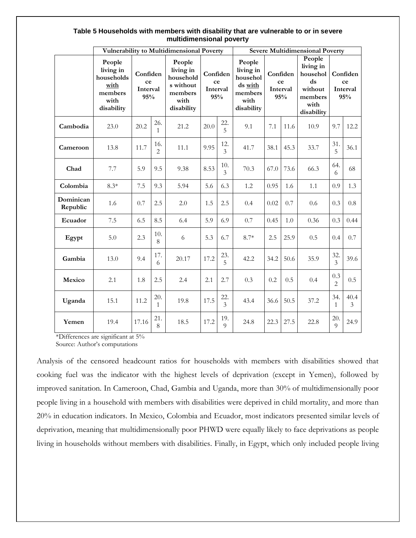#### **Table 5 Households with members with disability that are vulnerable to or in severe multidimensional poverty**

|                       | Vulnerability to Multidimensional Poverty                                  |                                   |                       |                                                                                |                                   |                 | <b>Severe Multidimensional Poverty</b>                                      |      |                                                 |      |                                                                     |           |                                   |
|-----------------------|----------------------------------------------------------------------------|-----------------------------------|-----------------------|--------------------------------------------------------------------------------|-----------------------------------|-----------------|-----------------------------------------------------------------------------|------|-------------------------------------------------|------|---------------------------------------------------------------------|-----------|-----------------------------------|
|                       | People<br>living in<br>households<br>with<br>members<br>with<br>disability | Confiden<br>ce<br>Interval<br>95% |                       | People<br>living in<br>household<br>s without<br>members<br>with<br>disability | Confiden<br>ce<br>Interval<br>95% |                 | People<br>living in<br>househol<br>ds with<br>members<br>with<br>disability |      | Confiden<br>ds<br>ce<br>Interval<br>95%<br>with |      | People<br>living in<br>househol<br>without<br>members<br>disability |           | Confiden<br>ce<br>Interval<br>95% |
| Cambodia              | 23.0                                                                       | 20.2                              | 26.<br>1              | 21.2                                                                           | 20.0                              | 22.<br>5        | 9.1                                                                         | 7.1  | 11.6                                            | 10.9 | 9.7                                                                 | 12.2      |                                   |
| Cameroon              | 13.8                                                                       | 11.7                              | 16.<br>$\overline{2}$ | 11.1                                                                           | 9.95                              | 12.<br>3        | 41.7                                                                        | 38.1 | 45.3                                            | 33.7 | 31.<br>5                                                            | 36.1      |                                   |
| Chad                  | 7.7                                                                        | 5.9                               | 9.5                   | 9.38                                                                           | 8.53                              | 10.<br>3        | 70.3                                                                        | 67.0 | 73.6                                            | 66.3 | 64.<br>6                                                            | 68        |                                   |
| Colombia              | $8.3*$                                                                     | 7.5                               | 9.3                   | 5.94                                                                           | 5.6                               | 6.3             | 1.2                                                                         | 0.95 | 1.6                                             | 1.1  | 0.9                                                                 | 1.3       |                                   |
| Dominican<br>Republic | 1.6                                                                        | 0.7                               | 2.5                   | 2.0                                                                            | 1.5                               | 2.5             | 0.4                                                                         | 0.02 | 0.7                                             | 0.6  | 0.3                                                                 | 0.8       |                                   |
| Ecuador               | 7.5                                                                        | 6.5                               | 8.5                   | 6.4                                                                            | 5.9                               | 6.9             | 0.7                                                                         | 0.45 | 1.0                                             | 0.36 | 0.3                                                                 | 0.44      |                                   |
| Egypt                 | 5.0                                                                        | 2.3                               | 10.<br>8              | 6                                                                              | 5.3                               | 6.7             | $8.7*$                                                                      | 2.5  | 25.9                                            | 0.5  | 0.4                                                                 | 0.7       |                                   |
| Gambia                | 13.0                                                                       | 9.4                               | 17.<br>6              | 20.17                                                                          | 17.2                              | 23.<br>5        | 42.2                                                                        | 34.2 | 50.6                                            | 35.9 | 32.<br>3                                                            | 39.6      |                                   |
| Mexico                | 2.1                                                                        | 1.8                               | 2.5                   | 2.4                                                                            | 2.1                               | 2.7             | 0.3                                                                         | 0.2  | 0.5                                             | 0.4  | 0.3<br>$\overline{2}$                                               | 0.5       |                                   |
| Uganda                | 15.1                                                                       | 11.2                              | 20.<br>$\mathbf{1}$   | 19.8                                                                           | 17.5                              | 22.<br>3        | 43.4                                                                        | 36.6 | 50.5                                            | 37.2 | 34.<br>$\mathbf{1}$                                                 | 40.4<br>3 |                                   |
| Yemen                 | 19.4                                                                       | 17.16                             | 21.<br>8              | 18.5                                                                           | 17.2                              | 19.<br>$\Omega$ | 24.8                                                                        | 22.3 | 27.5                                            | 22.8 | 20.<br>$\overline{Q}$                                               | 24.9      |                                   |

\*Differences are significant at 5% Source: Author's computations

Analysis of the censored headcount ratios for households with members with disabilities showed that cooking fuel was the indicator with the highest levels of deprivation (except in Yemen), followed by improved sanitation. In Cameroon, Chad, Gambia and Uganda, more than 30% of multidimensionally poor people living in a household with members with disabilities were deprived in child mortality, and more than 20% in education indicators. In Mexico, Colombia and Ecuador, most indicators presented similar levels of deprivation, meaning that multidimensionally poor PHWD were equally likely to face deprivations as people living in households without members with disabilities. Finally, in Egypt, which only included people living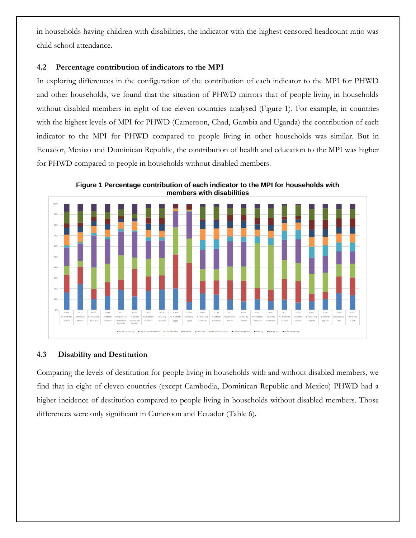in households having children with disabilities, the indicator with the highest censored headcount ratio was child school attendance.

#### **4.2 Percentage contribution of indicators to the MPI**

In exploring differences in the configuration of the contribution of each indicator to the MPI for PHWD and other households, we found that the situation of PHWD mirrors that of people living in households without disabled members in eight of the eleven countries analysed (Figure 1). For example, in countries with the highest levels of MPI for PHWD (Cameroon, Chad, Gambia and Uganda) the contribution of each indicator to the MPI for PHWD compared to people living in other households was similar. But in Ecuador, Mexico and Dominican Republic, the contribution of health and education to the MPI was higher for PHWD compared to people in households without disabled members.



**Figure 1 Percentage contribution of each indicator to the MPI for households with members with disabilities**

#### **4.3 Disability and Destitution**

Comparing the levels of destitution for people living in households with and without disabled members, we find that in eight of eleven countries (except Cambodia, Dominican Republic and Mexico) PHWD had a higher incidence of destitution compared to people living in households without disabled members. Those differences were only significant in Cameroon and Ecuador (Table 6).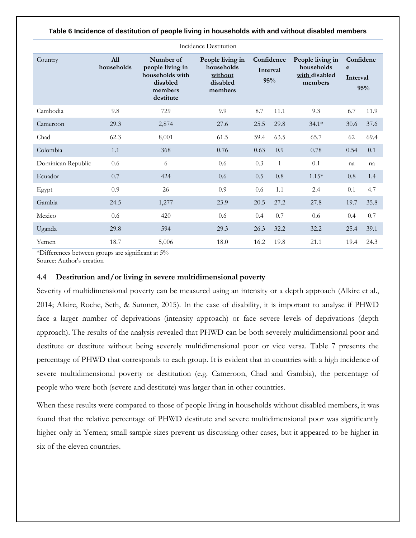| Incidence Destitution |                          |                                                                                      |                                                                  |                               |              |                                                            |                            |      |  |  |  |  |
|-----------------------|--------------------------|--------------------------------------------------------------------------------------|------------------------------------------------------------------|-------------------------------|--------------|------------------------------------------------------------|----------------------------|------|--|--|--|--|
| Country               | <b>All</b><br>households | Number of<br>people living in<br>households with<br>disabled<br>members<br>destitute | People living in<br>households<br>without<br>disabled<br>members | Confidence<br>Interval<br>95% |              | People living in<br>households<br>with disabled<br>members | Confidenc<br>e<br>Interval | 95%  |  |  |  |  |
| Cambodia              | 9.8                      | 729                                                                                  | 9.9                                                              | 8.7                           | 11.1         | 9.3                                                        | 6.7                        | 11.9 |  |  |  |  |
| Cameroon              | 29.3                     | 2,874                                                                                | 27.6                                                             | 25.5                          | 29.8         | $34.1*$                                                    | 30.6                       | 37.6 |  |  |  |  |
| Chad                  | 62.3                     | 8,001                                                                                | 61.5                                                             | 59.4                          | 63.5         | 65.7                                                       | 62                         | 69.4 |  |  |  |  |
| Colombia              | $1.1\,$                  | 368                                                                                  | 0.76                                                             | 0.63                          | 0.9          | 0.78                                                       | 0.54                       | 0.1  |  |  |  |  |
| Dominican Republic    | 0.6                      | 6                                                                                    | 0.6                                                              | 0.3                           | $\mathbf{1}$ | 0.1                                                        | na                         | na   |  |  |  |  |
| Ecuador               | 0.7                      | 424                                                                                  | 0.6                                                              | 0.5                           | 0.8          | $1.15*$                                                    | 0.8                        | 1.4  |  |  |  |  |
| Egypt                 | 0.9                      | 26                                                                                   | 0.9                                                              | 0.6                           | 1.1          | 2.4                                                        | 0.1                        | 4.7  |  |  |  |  |
| Gambia                | 24.5                     | 1,277                                                                                | 23.9                                                             | 20.5                          | 27.2         | 27.8                                                       | 19.7                       | 35.8 |  |  |  |  |
| Mexico                | 0.6                      | 420                                                                                  | 0.6                                                              | 0.4                           | 0.7          | 0.6                                                        | 0.4                        | 0.7  |  |  |  |  |
| Uganda                | 29.8                     | 594                                                                                  | 29.3                                                             | 26.3                          | 32.2         | 32.2                                                       | 25.4                       | 39.1 |  |  |  |  |
| Yemen                 | 18.7                     | 5,006                                                                                | 18.0                                                             | 16.2                          | 19.8         | 21.1                                                       | 19.4                       | 24.3 |  |  |  |  |

**Table 6 Incidence of destitution of people living in households with and without disabled members**

\*Differences between groups are significant at 5%

Source: Author's creation

#### **4.4 Destitution and/or living in severe multidimensional poverty**

Severity of multidimensional poverty can be measured using an intensity or a depth approach [\(Alkire et al.,](#page-19-12)  [2014;](#page-19-12) [Alkire, Roche, Seth, & Sumner, 2015\)](#page-19-15). In the case of disability, it is important to analyse if PHWD face a larger number of deprivations (intensity approach) or face severe levels of deprivations (depth approach). The results of the analysis revealed that PHWD can be both severely multidimensional poor and destitute or destitute without being severely multidimensional poor or vice versa. Table 7 presents the percentage of PHWD that corresponds to each group. It is evident that in countries with a high incidence of severe multidimensional poverty or destitution (e.g. Cameroon, Chad and Gambia), the percentage of people who were both (severe and destitute) was larger than in other countries.

When these results were compared to those of people living in households without disabled members, it was found that the relative percentage of PHWD destitute and severe multidimensional poor was significantly higher only in Yemen; small sample sizes prevent us discussing other cases, but it appeared to be higher in six of the eleven countries.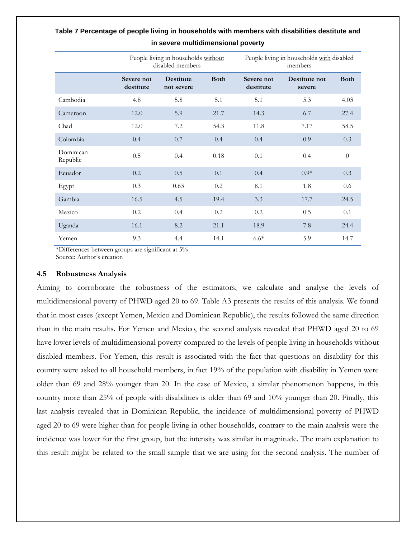|                       |                         | People living in households without<br>disabled members |             | People living in households with disabled<br>members |                         |                |  |
|-----------------------|-------------------------|---------------------------------------------------------|-------------|------------------------------------------------------|-------------------------|----------------|--|
|                       | Severe not<br>destitute | <b>Destitute</b><br>not severe                          | <b>Both</b> | Severe not<br>destitute                              | Destitute not<br>severe | <b>Both</b>    |  |
| Cambodia              | 4.8                     | 5.8                                                     | 5.1         | 5.1                                                  | 5.3                     | 4.03           |  |
| Cameroon              | 12.0                    | 5.9                                                     | 21.7        | 14.3                                                 | 6.7                     | 27.4           |  |
| Chad                  | 12.0                    | 7.2                                                     | 54.3        | 11.8                                                 | 7.17                    | 58.5           |  |
| Colombia              | 0.4                     | 0.7                                                     | 0.4         | 0.4                                                  | 0.9                     | 0.3            |  |
| Dominican<br>Republic | 0.5                     | 0.4                                                     | 0.18        | 0.1                                                  | 0.4                     | $\overline{0}$ |  |
| Ecuador               | 0.2                     | 0.5                                                     | 0.1         | 0.4                                                  | $0.9*$                  | 0.3            |  |
| Egypt                 | 0.3                     | 0.63                                                    | 0.2         | 8.1                                                  | 1.8                     | 0.6            |  |
| Gambia                | 16.5                    | 4.5                                                     | 19.4        | 3.3                                                  | 17.7                    | 24.5           |  |
| Mexico                | 0.2                     | 0.4                                                     | 0.2         | 0.2                                                  | 0.5                     | 0.1            |  |
| Uganda                | 16.1                    | 8.2                                                     | 21.1        | 18.9                                                 | 7.8                     | 24.4           |  |
| Yemen                 | 9.3                     | 4.4                                                     | 14.1        | $6.6*$                                               | 5.9                     | 14.7           |  |

#### **Table 7 Percentage of people living in households with members with disabilities destitute and in severe multidimensional poverty**

\*Differences between groups are significant at 5% Source: Author's creation

#### **4.5 Robustness Analysis**

Aiming to corroborate the robustness of the estimators, we calculate and analyse the levels of multidimensional poverty of PHWD aged 20 to 69. Table A3 presents the results of this analysis. We found that in most cases (except Yemen, Mexico and Dominican Republic), the results followed the same direction than in the main results. For Yemen and Mexico, the second analysis revealed that PHWD aged 20 to 69 have lower levels of multidimensional poverty compared to the levels of people living in households without disabled members. For Yemen, this result is associated with the fact that questions on disability for this country were asked to all household members, in fact 19% of the population with disability in Yemen were older than 69 and 28% younger than 20. In the case of Mexico, a similar phenomenon happens, in this country more than 25% of people with disabilities is older than 69 and 10% younger than 20. Finally, this last analysis revealed that in Dominican Republic, the incidence of multidimensional poverty of PHWD aged 20 to 69 were higher than for people living in other households, contrary to the main analysis were the incidence was lower for the first group, but the intensity was similar in magnitude. The main explanation to this result might be related to the small sample that we are using for the second analysis. The number of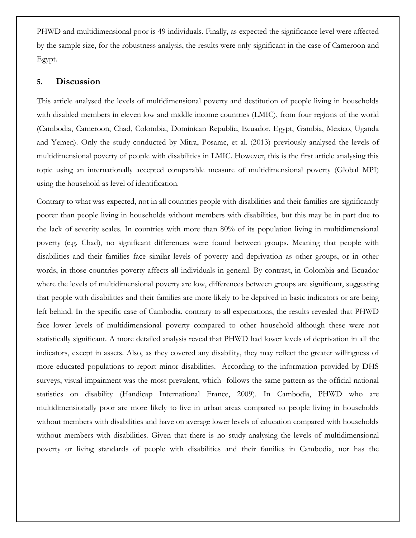PHWD and multidimensional poor is 49 individuals. Finally, as expected the significance level were affected by the sample size, for the robustness analysis, the results were only significant in the case of Cameroon and Egypt.

#### **5. Discussion**

This article analysed the levels of multidimensional poverty and destitution of people living in households with disabled members in eleven low and middle income countries (LMIC), from four regions of the world (Cambodia, Cameroon, Chad, Colombia, Dominican Republic, Ecuador, Egypt, Gambia, Mexico, Uganda and Yemen). Only the study conducted by [Mitra, Posarac, et al. \(2013\)](#page-20-0) previously analysed the levels of multidimensional poverty of people with disabilities in LMIC. However, this is the first article analysing this topic using an internationally accepted comparable measure of multidimensional poverty (Global MPI) using the household as level of identification.

Contrary to what was expected, not in all countries people with disabilities and their families are significantly poorer than people living in households without members with disabilities, but this may be in part due to the lack of severity scales. In countries with more than 80% of its population living in multidimensional poverty (e.g. Chad), no significant differences were found between groups. Meaning that people with disabilities and their families face similar levels of poverty and deprivation as other groups, or in other words, in those countries poverty affects all individuals in general. By contrast, in Colombia and Ecuador where the levels of multidimensional poverty are low, differences between groups are significant, suggesting that people with disabilities and their families are more likely to be deprived in basic indicators or are being left behind. In the specific case of Cambodia, contrary to all expectations, the results revealed that PHWD face lower levels of multidimensional poverty compared to other household although these were not statistically significant. A more detailed analysis reveal that PHWD had lower levels of deprivation in all the indicators, except in assets. Also, as they covered any disability, they may reflect the greater willingness of more educated populations to report minor disabilities. According to the information provided by DHS surveys, visual impairment was the most prevalent, which follows the same pattern as the official national statistics on disability [\(Handicap International France, 2009\)](#page-20-17). In Cambodia, PHWD who are multidimensionally poor are more likely to live in urban areas compared to people living in households without members with disabilities and have on average lower levels of education compared with households without members with disabilities. Given that there is no study analysing the levels of multidimensional poverty or living standards of people with disabilities and their families in Cambodia, nor has the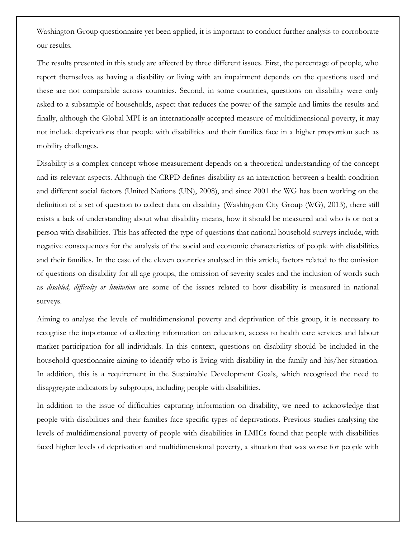Washington Group questionnaire yet been applied, it is important to conduct further analysis to corroborate our results.

The results presented in this study are affected by three different issues. First, the percentage of people, who report themselves as having a disability or living with an impairment depends on the questions used and these are not comparable across countries. Second, in some countries, questions on disability were only asked to a subsample of households, aspect that reduces the power of the sample and limits the results and finally, although the Global MPI is an internationally accepted measure of multidimensional poverty, it may not include deprivations that people with disabilities and their families face in a higher proportion such as mobility challenges.

Disability is a complex concept whose measurement depends on a theoretical understanding of the concept and its relevant aspects. Although the CRPD defines disability as an interaction between a health condition and different social factors [\(United Nations \(UN\), 2008\)](#page-21-1), and since 2001 the WG has been working on the definition of a set of question to collect data on disability [\(Washington City Group \(WG\), 2013\)](#page-21-11), there still exists a lack of understanding about what disability means, how it should be measured and who is or not a person with disabilities. This has affected the type of questions that national household surveys include, with negative consequences for the analysis of the social and economic characteristics of people with disabilities and their families. In the case of the eleven countries analysed in this article, factors related to the omission of questions on disability for all age groups, the omission of severity scales and the inclusion of words such as *disabled, difficulty or limitation* are some of the issues related to how disability is measured in national surveys.

Aiming to analyse the levels of multidimensional poverty and deprivation of this group, it is necessary to recognise the importance of collecting information on education, access to health care services and labour market participation for all individuals. In this context, questions on disability should be included in the household questionnaire aiming to identify who is living with disability in the family and his/her situation. In addition, this is a requirement in the Sustainable Development Goals, which recognised the need to disaggregate indicators by subgroups, including people with disabilities.

In addition to the issue of difficulties capturing information on disability, we need to acknowledge that people with disabilities and their families face specific types of deprivations. Previous studies analysing the levels of multidimensional poverty of people with disabilities in LMICs found that people with disabilities faced higher levels of deprivation and multidimensional poverty, a situation that was worse for people with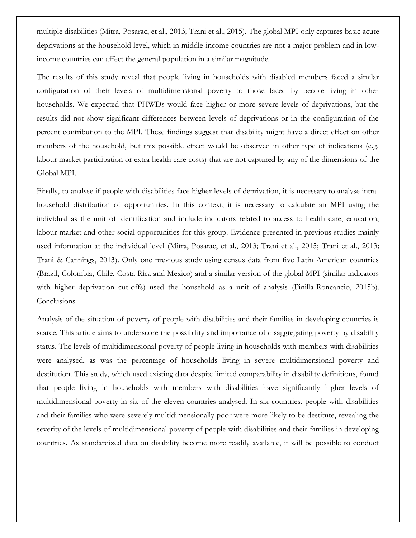multiple disabilities [\(Mitra, Posarac, et al., 2013;](#page-20-0) [Trani et al., 2015\)](#page-21-6). The global MPI only captures basic acute deprivations at the household level, which in middle-income countries are not a major problem and in lowincome countries can affect the general population in a similar magnitude.

The results of this study reveal that people living in households with disabled members faced a similar configuration of their levels of multidimensional poverty to those faced by people living in other households. We expected that PHWDs would face higher or more severe levels of deprivations, but the results did not show significant differences between levels of deprivations or in the configuration of the percent contribution to the MPI. These findings suggest that disability might have a direct effect on other members of the household, but this possible effect would be observed in other type of indications (e.g. labour market participation or extra health care costs) that are not captured by any of the dimensions of the Global MPI.

Finally, to analyse if people with disabilities face higher levels of deprivation, it is necessary to analyse intrahousehold distribution of opportunities. In this context, it is necessary to calculate an MPI using the individual as the unit of identification and include indicators related to access to health care, education, labour market and other social opportunities for this group. Evidence presented in previous studies mainly used information at the individual level [\(Mitra, Posarac, et al., 2013;](#page-20-0) [Trani et al., 2015;](#page-21-6) [Trani et al., 2013;](#page-21-7) [Trani & Cannings, 2013\)](#page-21-8). Only one previous study using census data from five Latin American countries (Brazil, Colombia, Chile, Costa Rica and Mexico) and a similar version of the global MPI (similar indicators with higher deprivation cut-offs) used the household as a unit of analysis [\(Pinilla-Roncancio, 2015b\)](#page-20-12). **Conclusions** 

Analysis of the situation of poverty of people with disabilities and their families in developing countries is scarce. This article aims to underscore the possibility and importance of disaggregating poverty by disability status. The levels of multidimensional poverty of people living in households with members with disabilities were analysed, as was the percentage of households living in severe multidimensional poverty and destitution. This study, which used existing data despite limited comparability in disability definitions, found that people living in households with members with disabilities have significantly higher levels of multidimensional poverty in six of the eleven countries analysed. In six countries, people with disabilities and their families who were severely multidimensionally poor were more likely to be destitute, revealing the severity of the levels of multidimensional poverty of people with disabilities and their families in developing countries. As standardized data on disability become more readily available, it will be possible to conduct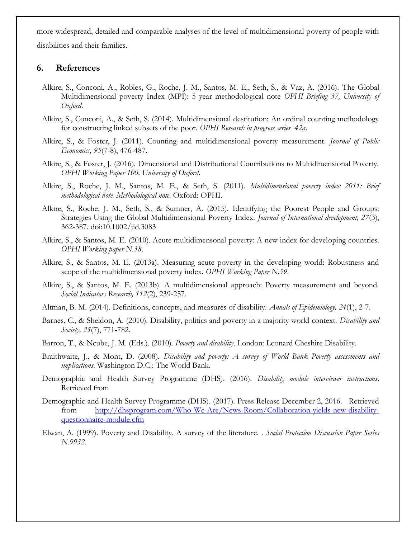more widespread, detailed and comparable analyses of the level of multidimensional poverty of people with disabilities and their families.

#### **6. References**

- <span id="page-19-13"></span>Alkire, S., Conconi, A., Robles, G., Roche, J. M., Santos, M. E., Seth, S., & Vaz, A. (2016). The Global Multidimensional poverty Index (MPI): 5 year methodological note *OPHI Briefing 37, University of Oxford*.
- <span id="page-19-12"></span>Alkire, S., Conconi, A., & Seth, S. (2014). Multidimensional destitution: An ordinal counting methodology for constructing linked subsets of the poor. *OPHI Research in progress series 42a*.
- <span id="page-19-6"></span>Alkire, S., & Foster, J. (2011). Counting and multidimensional poverty measurement. *Journal of Public Economics, 95*(7-8), 476-487.
- <span id="page-19-9"></span>Alkire, S., & Foster, J. (2016). Dimensional and Distributional Contributions to Multidimensional Poverty. *OPHI Working Paper 100, University of Oxford*.
- <span id="page-19-11"></span>Alkire, S., Roche, J. M., Santos, M. E., & Seth, S. (2011). *Multidimensional poverty index 2011: Brief methodological note. Methodological note*. Oxford: OPHI.
- <span id="page-19-15"></span>Alkire, S., Roche, J. M., Seth, S., & Sumner, A. (2015). Identifying the Poorest People and Groups: Strategies Using the Global Multidimensional Poverty Index. *Journal of International development, 27*(3), 362-387. doi:10.1002/jid.3083
- <span id="page-19-7"></span>Alkire, S., & Santos, M. E. (2010). Acute multidimensonal poverty: A new index for developing countries. *OPHI Working paper N.38*.
- <span id="page-19-10"></span>Alkire, S., & Santos, M. E. (2013a). Measuring acute poverty in the developing world: Robustness and scope of the multidimensional poverty index. *OPHI Working Paper N.59*.
- <span id="page-19-8"></span>Alkire, S., & Santos, M. E. (2013b). A multidimensional approach: Poverty measurement and beyond. *Social Indicators Research, 112*(2), 239-257.
- <span id="page-19-14"></span>Altman, B. M. (2014). Definitions, concepts, and measures of disability. *Annals of Epidemiology, 24*(1), 2-7.
- <span id="page-19-2"></span>Barnes, C., & Sheldon, A. (2010). Disability, politics and poverty in a majority world context. *Disability and Society, 25*(7), 771-782.
- <span id="page-19-3"></span>Barron, T., & Ncube, J. M. (Eds.). (2010). *Poverty and disability*. London: Leonard Cheshire Disability.
- <span id="page-19-0"></span>Braithwaite, J., & Mont, D. (2008). *Disability and poverty: A survey of World Bank Poverty assessments and implications*. Washington D.C.: The World Bank.
- <span id="page-19-4"></span>Demographic and Health Survey Programme (DHS). (2016). *Disability module interviewer instructions*. Retrieved from
- <span id="page-19-5"></span>Demographic and Health Survey Programme (DHS). (2017). Press Release December 2, 2016. Retrieved from [http://dhsprogram.com/Who-We-Are/News-Room/Collaboration-yields-new-disability](http://dhsprogram.com/Who-We-Are/News-Room/Collaboration-yields-new-disability-questionnaire-module.cfm)[questionnaire-module.cfm](http://dhsprogram.com/Who-We-Are/News-Room/Collaboration-yields-new-disability-questionnaire-module.cfm)
- <span id="page-19-1"></span>Elwan, A. (1999). Poverty and Disability. A survey of the literature. . *Social Protection Discussion Paper Series N.9932*.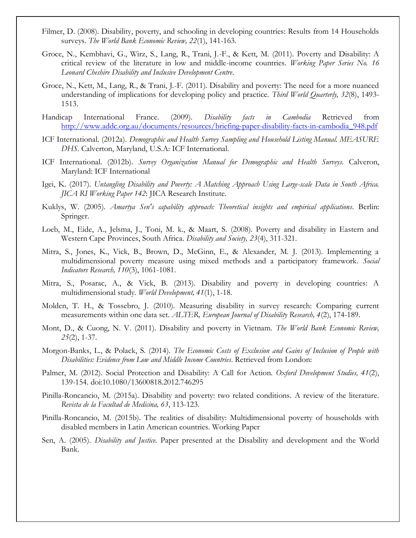- <span id="page-20-3"></span>Filmer, D. (2008). Disability, poverty, and schooling in developing countries: Results from 14 Households surveys. *The World Bank Economic Review, 22*(1), 141-163.
- <span id="page-20-1"></span>Groce, N., Kembhavi, G., Wirz, S., Lang, R., Trani, J.-F., & Kett, M. (2011). Poverty and Disability: A critical review of the literature in low and middle-income countries. *Working Paper Series No. 16 Leonard Cheshire Disability and Inclusive Development Centre*.
- <span id="page-20-4"></span>Groce, N., Kett, M., Lang, R., & Trani, J.-F. (2011). Disability and poverty: The need for a more nuanced understanding of implications for developing policy and practice. *Third World Quarterly, 32*(8), 1493- 1513.
- <span id="page-20-17"></span>Handicap International France. (2009). *Disability facts in Cambodia* Retrieved from [http://www.addc.org.au/documents/resources/briefing-paper-disability-facts-in-cambodia\\_948.pdf](http://www.addc.org.au/documents/resources/briefing-paper-disability-facts-in-cambodia_948.pdf)
- <span id="page-20-15"></span>ICF International. (2012a). *Demographic and Health Survey Sampling and Household Listing Manual. MEASURE DHS*. Calverton, Maryland, U.S.A: ICF International.
- <span id="page-20-14"></span>ICF International. (2012b). *Survey Organization Manual for Demographic and Health Surveys.* Calveron, Maryland: ICF International
- <span id="page-20-10"></span>Igei, K. (2017). *Untangling Disability and Poverty: A Matching Approach Using Large-scale Data in South Africa. JICA RI Working Paper 142*: JICA Research Institute.
- <span id="page-20-9"></span>Kuklys, W. (2005). *Amartya Sen's capability approach: Theoretical insights and empirical applications*. Berlin: Springer.
- <span id="page-20-5"></span>Loeb, M., Eide, A., Jelsma, J., Toni, M. k., & Maart, S. (2008). Poverty and disability in Eastern and Western Cape Provinces, South Africa. *Disability and Society, 23*(4), 311-321.
- <span id="page-20-11"></span>Mitra, S., Jones, K., Vick, B., Brown, D., McGinn, E., & Alexander, M. J. (2013). Implementing a multidimensional poverty measure using mixed methods and a participatory framework. *Social Indicators Research, 110*(3), 1061-1081.
- <span id="page-20-0"></span>Mitra, S., Posarac, A., & Vick, B. (2013). Disability and poverty in developing countries: A multidimensional study. *World Development, 41*(1), 1-18.
- <span id="page-20-16"></span>Molden, T. H., & Tossebro, J. (2010). Measuring disability in survey research: Comparing current measurements within one data set. *ALTER, European Journal of Disability Research, 4*(2), 174-189.
- <span id="page-20-6"></span>Mont, D., & Cuong, N. V. (2011). Disability and poverty in Vietnam. *The World Bank Economic Review, 25*(2), 1-37.
- <span id="page-20-13"></span>Morgon-Banks, L., & Polack, S. (2014). *The Economic Costs of Exclusion and Gains of Inclusion of People with Disabilities: Evidence from Low and Middle Income Countries*. Retrieved from London:
- <span id="page-20-7"></span>Palmer, M. (2012). Social Protection and Disability: A Call for Action. *Oxford Development Studies, 41*(2), 139-154. doi:10.1080/13600818.2012.746295
- <span id="page-20-8"></span>Pinilla-Roncancio, M. (2015a). Disability and poverty: two related conditions. A review of the literature. *Revista de la Facultad de Medicina, 63*, 113-123.
- <span id="page-20-12"></span>Pinilla-Roncancio, M. (2015b). The realities of disability: Multidimensional poverty of households with disabled members in Latin American countries. Working Paper
- <span id="page-20-2"></span>Sen, A. (2005). *Disability and Justice.* Paper presented at the Disability and development and the World Bank.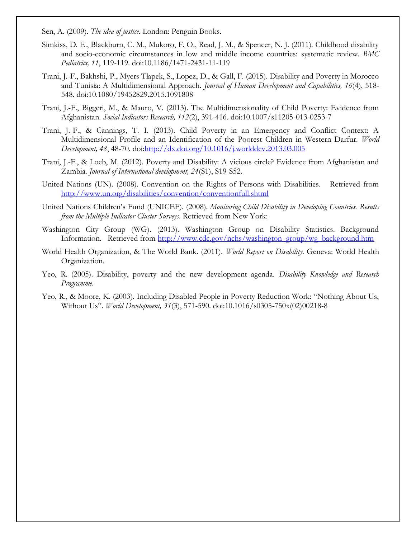<span id="page-21-2"></span>Sen, A. (2009). *The idea of justice*. London: Penguin Books.

- <span id="page-21-9"></span>Simkiss, D. E., Blackburn, C. M., Mukoro, F. O., Read, J. M., & Spencer, N. J. (2011). Childhood disability and socio-economic circumstances in low and middle income countries: systematic review. *BMC Pediatrics, 11*, 119-119. doi:10.1186/1471-2431-11-119
- <span id="page-21-6"></span>Trani, J.-F., Bakhshi, P., Myers Tlapek, S., Lopez, D., & Gall, F. (2015). Disability and Poverty in Morocco and Tunisia: A Multidimensional Approach. *Journal of Human Development and Capabilities, 16*(4), 518- 548. doi:10.1080/19452829.2015.1091808
- <span id="page-21-7"></span>Trani, J.-F., Biggeri, M., & Mauro, V. (2013). The Multidimensionality of Child Poverty: Evidence from Afghanistan. *Social Indicators Research, 112*(2), 391-416. doi:10.1007/s11205-013-0253-7
- <span id="page-21-8"></span>Trani, J.-F., & Cannings, T. I. (2013). Child Poverty in an Emergency and Conflict Context: A Multidimensional Profile and an Identification of the Poorest Children in Western Darfur. *World Development, 48*, 48-70. do[i:http://dx.doi.org/10.1016/j.worlddev.2013.03.005](http://dx.doi.org/10.1016/j.worlddev.2013.03.005)
- <span id="page-21-4"></span>Trani, J.-F., & Loeb, M. (2012). Poverty and Disability: A vicious circle? Evidence from Afghanistan and Zambia. *Journal of International development, 24*(S1), S19-S52.
- <span id="page-21-1"></span>United Nations (UN). (2008). Convention on the Rights of Persons with Disabilities. Retrieved from <http://www.un.org/disabilities/convention/conventionfull.shtml>
- <span id="page-21-10"></span>United Nations Children's Fund (UNICEF). (2008). *Monitoring Child Disability in Developing Countries. Results from the Multiple Indicator Cluster Surveys*. Retrieved from New York:
- <span id="page-21-11"></span>Washington City Group (WG). (2013). Washington Group on Disability Statistics. Background Information. Retrieved from [http://www.cdc.gov/nchs/washington\\_group/wg\\_background.htm](http://www.cdc.gov/nchs/washington_group/wg_background.htm)
- <span id="page-21-0"></span>World Health Organization, & The World Bank. (2011). *World Report on Disability*. Geneva: World Health Organization.
- <span id="page-21-5"></span>Yeo, R. (2005). Disability, poverty and the new development agenda. *Disability Knowledge and Research Programme*.
- <span id="page-21-3"></span>Yeo, R., & Moore, K. (2003). Including Disabled People in Poverty Reduction Work: "Nothing About Us, Without Us". *World Development, 31*(3), 571-590. doi:10.1016/s0305-750x(02)00218-8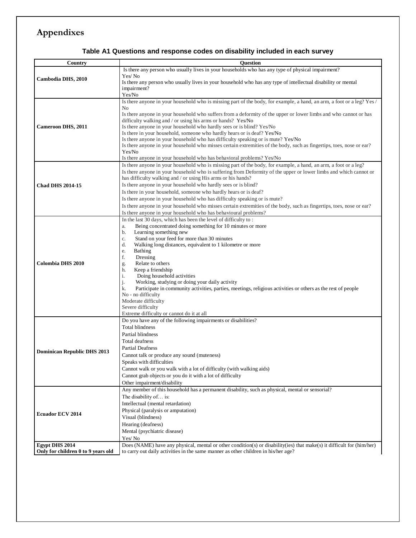# **Appendixes**

| Table A1 Questions and response codes on disability included in each survey |  |
|-----------------------------------------------------------------------------|--|
|-----------------------------------------------------------------------------|--|

| Country                            | <b>Ouestion</b>                                                                                                                                                                 |
|------------------------------------|---------------------------------------------------------------------------------------------------------------------------------------------------------------------------------|
|                                    | Is there any person who usually lives in your households who has any type of physical impairment?                                                                               |
| Cambodia DHS, 2010                 | Yes/No                                                                                                                                                                          |
|                                    | Is there any person who usually lives in your household who has any type of intellectual disability or mental                                                                   |
|                                    | impairment?                                                                                                                                                                     |
|                                    | Yes/No                                                                                                                                                                          |
|                                    | Is there anyone in your household who is missing part of the body, for example, a hand, an arm, a foot or a leg? Yes /                                                          |
|                                    | No                                                                                                                                                                              |
|                                    | Is there anyone in your household who suffers from a deformity of the upper or lower limbs and who cannot or has<br>difficulty walking and / or using his arms or hands? Yes/No |
| <b>Cameroon DHS, 2011</b>          | Is there anyone in your household who hardly sees or is blind? Yes/No                                                                                                           |
|                                    | Is there in your household, someone who hardly hears or is deaf? Yes/No                                                                                                         |
|                                    | Is there anyone in your household who has difficulty speaking or is mute? Yes/No                                                                                                |
|                                    | Is there anyone in your household who misses certain extremities of the body, such as fingertips, toes, nose or ear?                                                            |
|                                    | Yes/No                                                                                                                                                                          |
|                                    | Is there anyone in your household who has behavioral problems? Yes/No                                                                                                           |
|                                    | Is there anyone in your household who is missing part of the body, for example, a hand, an arm, a foot or a leg?                                                                |
|                                    | Is there anyone in your household who is suffering from Deformity of the upper or lower limbs and which cannot or                                                               |
|                                    | has difficulty walking and / or using His arms or his hands?                                                                                                                    |
| <b>Chad DHS 2014-15</b>            | Is there anyone in your household who hardly sees or is blind?                                                                                                                  |
|                                    | Is there in your household, someone who hardly hears or is deaf?                                                                                                                |
|                                    | Is there anyone in your household who has difficulty speaking or is mute?                                                                                                       |
|                                    | Is there anyone in your household who misses certain extremities of the body, such as fingertips, toes, nose or ear?                                                            |
|                                    | Is there anyone in your household who has behavioural problems?                                                                                                                 |
|                                    | In the last 30 days, which has been the level of difficulty to:                                                                                                                 |
|                                    | Being concentrated doing something for 10 minutes or more<br>a.<br>Learning something new<br>b.                                                                                 |
|                                    | Stand on your feed for more than 30 minutes<br>c.                                                                                                                               |
|                                    | Walking long distances, equivalent to 1 kilometre or more<br>d.                                                                                                                 |
|                                    | <b>Bathing</b><br>e.                                                                                                                                                            |
|                                    | f.<br>Dressing                                                                                                                                                                  |
| <b>Colombia DHS 2010</b>           | Relate to others<br>g.                                                                                                                                                          |
|                                    | Keep a friendship<br>h.                                                                                                                                                         |
|                                    | Doing household activities<br>i.                                                                                                                                                |
|                                    | Working, studying or doing your daily activity<br>Participate in community activities, parties, meetings, religious activities or others as the rest of people                  |
|                                    | k.<br>No - no difficulty                                                                                                                                                        |
|                                    | Moderate difficulty                                                                                                                                                             |
|                                    | Severe difficulty                                                                                                                                                               |
|                                    | Extreme difficulty or cannot do it at all                                                                                                                                       |
|                                    | Do you have any of the following impairments or disabilities?                                                                                                                   |
|                                    | <b>Total blindness</b>                                                                                                                                                          |
|                                    | Partial blindness                                                                                                                                                               |
|                                    | Total deafness                                                                                                                                                                  |
| <b>Dominican Republic DHS 2013</b> | <b>Partial Deafness</b>                                                                                                                                                         |
|                                    | Cannot talk or produce any sound (muteness)                                                                                                                                     |
|                                    | Speaks with difficulties                                                                                                                                                        |
|                                    | Cannot walk or you walk with a lot of difficulty (with walking aids)                                                                                                            |
|                                    | Cannot grab objects or you do it with a lot of difficulty                                                                                                                       |
|                                    | Other impairment/disability                                                                                                                                                     |
|                                    | Any member of this household has a permanent disability, such as physical, mental or sensorial?<br>The disability of is:                                                        |
|                                    | Intellectual (mental retardation)                                                                                                                                               |
|                                    | Physical (paralysis or amputation)                                                                                                                                              |
| <b>Ecuador ECV 2014</b>            | Visual (blindness)                                                                                                                                                              |
|                                    | Hearing (deafness)                                                                                                                                                              |
|                                    | Mental (psychiatric disease)                                                                                                                                                    |
|                                    | Yes/No                                                                                                                                                                          |
| <b>Egypt DHS 2014</b>              | Does (NAME) have any physical, mental or other condition(s) or disability(ies) that make(s) it difficult for (him/her)                                                          |
| Only for children 0 to 9 years old | to carry out daily activities in the same manner as other children in his/her age?                                                                                              |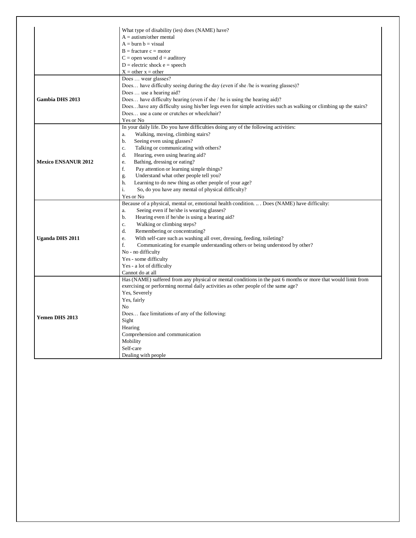|                            | What type of disability (ies) does (NAME) have?                                                                                   |
|----------------------------|-----------------------------------------------------------------------------------------------------------------------------------|
|                            | $A = \text{autism/other mental}$                                                                                                  |
|                            | $A = burn b = visual$                                                                                                             |
|                            | $B =$ fracture $c =$ motor                                                                                                        |
|                            | $C =$ open wound $d =$ auditory                                                                                                   |
|                            | $D =$ electric shock $e =$ speech                                                                                                 |
|                            | $X = other x = other$                                                                                                             |
|                            | Does  wear glasses?                                                                                                               |
|                            | Does have difficulty seeing during the day (even if she /he is wearing glasses)?                                                  |
|                            | Does  use a hearing aid?                                                                                                          |
| <b>Gambia DHS 2013</b>     | Does have difficulty hearing (even if she / he is using the hearing aid)?                                                         |
|                            | Doeshave any difficulty using his/her legs even for simple activities such as walking or climbing up the stairs?                  |
|                            | Does use a cane or crutches or wheelchair?                                                                                        |
|                            | Yes or No                                                                                                                         |
|                            | In your daily life. Do you have difficulties doing any of the following activities:                                               |
|                            | Walking, moving, climbing stairs?<br>a.                                                                                           |
|                            | b.<br>Seeing even using glasses?                                                                                                  |
|                            | c.<br>Talking or communicating with others?                                                                                       |
|                            | d.<br>Hearing, even using hearing aid?                                                                                            |
| <b>Mexico ENSANUR 2012</b> | Bathing, dressing or eating?<br>e.                                                                                                |
|                            | f.<br>Pay attention or learning simple things?                                                                                    |
|                            | Understand what other people tell you?<br>g.                                                                                      |
|                            | h.<br>Learning to do new thing as other people of your age?                                                                       |
|                            | i.<br>So, do you have any mental of physical difficulty?                                                                          |
|                            | Yes or No                                                                                                                         |
|                            | Because of a physical, mental or, emotional health condition. Does (NAME) have difficulty:                                        |
|                            | Seeing even if he/she is wearing glasses?<br>a.                                                                                   |
|                            | $b$<br>Hearing even if he/she is using a hearing aid?                                                                             |
|                            | Walking or climbing steps?<br>c.                                                                                                  |
|                            | d.<br>Remembering or concentrating?                                                                                               |
| <b>Uganda DHS 2011</b>     | e.<br>With self-care such as washing all over, dressing, feeding, toileting?                                                      |
|                            | f.<br>Communicating for example understanding others or being understood by other?                                                |
|                            | No - no difficulty                                                                                                                |
|                            | Yes - some difficulty                                                                                                             |
|                            |                                                                                                                                   |
|                            | Yes - a lot of difficulty                                                                                                         |
|                            | Cannot do at all<br>Has (NAME) suffered from any physical or mental conditions in the past 6 months or more that would limit from |
|                            |                                                                                                                                   |
|                            | exercising or performing normal daily activities as other people of the same age?                                                 |
|                            | Yes, Severely                                                                                                                     |
|                            | Yes, fairly                                                                                                                       |
|                            | N <sub>o</sub>                                                                                                                    |
| <b>Yemen DHS 2013</b>      | Does face limitations of any of the following:                                                                                    |
|                            | Sight                                                                                                                             |
|                            | Hearing                                                                                                                           |
|                            | Comprehension and communication                                                                                                   |
|                            | Mobility                                                                                                                          |
|                            | Self-care                                                                                                                         |
|                            | Dealing with people                                                                                                               |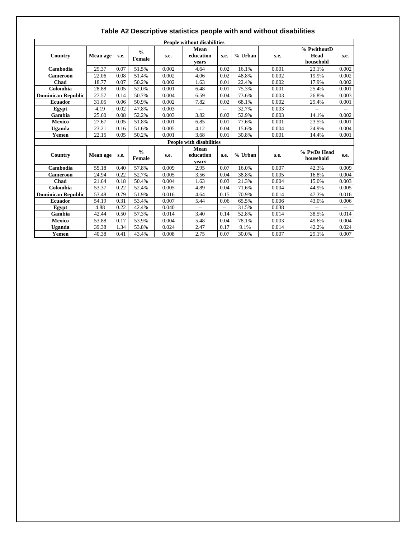| <b>People without disabilities</b> |          |      |                         |       |                                                     |                |         |       |                                  |       |  |
|------------------------------------|----------|------|-------------------------|-------|-----------------------------------------------------|----------------|---------|-------|----------------------------------|-------|--|
| Country                            | Mean age | s.e. | $\frac{0}{0}$<br>Female | s.e.  | Mean<br>education<br>vears                          | s.e.           | % Urban | s.e.  | % PwithoutD<br>Head<br>household | s.e.  |  |
| Cambodia                           | 29.37    | 0.07 | 51.5%                   | 0.002 | 4.64                                                | 0.02           | 16.1%   | 0.001 | 23.1%                            | 0.002 |  |
| Cameroon                           | 22.06    | 0.08 | 51.4%                   | 0.002 | 4.06                                                | 0.02           | 48.8%   | 0.002 | 19.9%                            | 0.002 |  |
| Chad                               | 18.77    | 0.07 | 50.2%                   | 0.002 | 1.63                                                | 0.01           | 22.4%   | 0.002 | 17.9%                            | 0.002 |  |
| Colombia                           | 28.88    | 0.05 | 52.0%                   | 0.001 | 6.48                                                | 0.01           | 75.3%   | 0.001 | 25.4%                            | 0.001 |  |
| <b>Dominican Republic</b>          | 27.57    | 0.14 | 50.7%                   | 0.004 | 6.59                                                | 0.04           | 73.6%   | 0.003 | 26.8%                            | 0.003 |  |
| <b>Ecuador</b>                     | 31.05    | 0.06 | 50.9%                   | 0.002 | 7.82                                                | 0.02           | 68.1%   | 0.002 | 29.4%                            | 0.001 |  |
| Egypt                              | 4.19     | 0.02 | 47.8%                   | 0.003 | $\hspace{0.05cm} -\hspace{0.05cm} -\hspace{0.05cm}$ | --             | 32.7%   | 0.003 |                                  | $-$   |  |
| Gambia                             | 25.60    | 0.08 | 52.2%                   | 0.003 | 3.82                                                | 0.02           | 52.9%   | 0.003 | 14.1%                            | 0.002 |  |
| <b>Mexico</b>                      | 27.67    | 0.05 | 51.8%                   | 0.001 | 6.85                                                | 0.01           | 77.6%   | 0.001 | 23.5%                            | 0.001 |  |
| Uganda                             | 23.21    | 0.16 | 51.6%                   | 0.005 | 4.12                                                | 0.04           | 15.6%   | 0.004 | 24.9%                            | 0.004 |  |
| Yemen                              | 22.15    | 0.05 | 50.2%                   | 0.001 | 3.68                                                | 0.01           | 30.8%   | 0.001 | 14.4%                            | 0.001 |  |
|                                    |          |      |                         |       | <b>People with disabilities</b>                     |                |         |       |                                  |       |  |
| Country                            | Mean age | s.e. | $\frac{0}{0}$<br>Female | s.e.  | Mean<br>education<br>vears                          | s.e.           | % Urban | s.e.  | % PwDs Head<br>household         | s.e.  |  |
| Cambodia                           | 55.18    | 0.40 | 57.8%                   | 0.009 | 2.95                                                | 0.07           | 16.0%   | 0.007 | 42.3%                            | 0.009 |  |
| Cameroon                           | 24.94    | 0.22 | 52.7%                   | 0.005 | 3.56                                                | 0.04           | 38.8%   | 0.005 | 16.8%                            | 0.004 |  |
| Chad                               | 21.64    | 0.18 | 50.4%                   | 0.004 | 1.63                                                | 0.03           | 21.3%   | 0.004 | 15.0%                            | 0.003 |  |
| Colombia                           | 53.37    | 0.22 | 52.4%                   | 0.005 | 4.89                                                | 0.04           | 71.6%   | 0.004 | 44.9%                            | 0.005 |  |
| <b>Dominican Republic</b>          | 53.48    | 0.79 | 51.9%                   | 0.016 | 4.64                                                | 0.15           | 70.9%   | 0.014 | 47.3%                            | 0.016 |  |
| <b>Ecuador</b>                     | 54.19    | 0.31 | 53.4%                   | 0.007 | 5.44                                                | 0.06           | 65.5%   | 0.006 | 43.0%                            | 0.006 |  |
| Egypt                              | 4.88     | 0.22 | 42.4%                   | 0.040 | $\overline{\phantom{a}}$                            | $\overline{a}$ | 31.5%   | 0.038 | $-$                              |       |  |
| Gambia                             | 42.44    | 0.50 | 57.3%                   | 0.014 | 3.40                                                | 0.14           | 52.8%   | 0.014 | 38.5%                            | 0.014 |  |
| <b>Mexico</b>                      | 53.88    | 0.17 | 53.9%                   | 0.004 | 5.48                                                | 0.04           | 78.1%   | 0.003 | 49.6%                            | 0.004 |  |
| Uganda                             | 39.38    | 1.34 | 53.8%                   | 0.024 | 2.47                                                | 0.17           | 9.1%    | 0.014 | 42.2%                            | 0.024 |  |
| Yemen                              | 40.38    | 0.41 | 43.4%                   | 0.008 | 2.75                                                | 0.07           | 30.0%   | 0.007 | 29.1%                            | 0.007 |  |

#### **Table A2 Descriptive statistics people with and without disabilities**